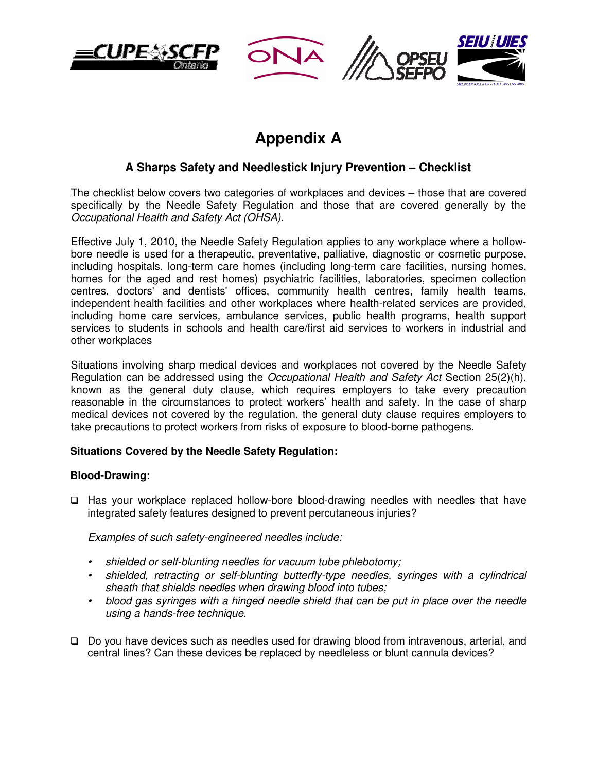





# **Appendix A**

## **A Sharps Safety and Needlestick Injury Prevention – Checklist**

The checklist below covers two categories of workplaces and devices – those that are covered specifically by the Needle Safety Regulation and those that are covered generally by the Occupational Health and Safety Act (OHSA).

Effective July 1, 2010, the Needle Safety Regulation applies to any workplace where a hollowbore needle is used for a therapeutic, preventative, palliative, diagnostic or cosmetic purpose, including hospitals, long-term care homes (including long-term care facilities, nursing homes, homes for the aged and rest homes) psychiatric facilities, laboratories, specimen collection centres, doctors' and dentists' offices, community health centres, family health teams, independent health facilities and other workplaces where health-related services are provided, including home care services, ambulance services, public health programs, health support services to students in schools and health care/first aid services to workers in industrial and other workplaces

Situations involving sharp medical devices and workplaces not covered by the Needle Safety Regulation can be addressed using the Occupational Health and Safety Act Section 25(2)(h), known as the general duty clause, which requires employers to take every precaution reasonable in the circumstances to protect workers' health and safety. In the case of sharp medical devices not covered by the regulation, the general duty clause requires employers to take precautions to protect workers from risks of exposure to blood-borne pathogens.

## **Situations Covered by the Needle Safety Regulation:**

## **Blood-Drawing:**

 Has your workplace replaced hollow-bore blood-drawing needles with needles that have integrated safety features designed to prevent percutaneous injuries?

Examples of such safety-engineered needles include:

- shielded or self-blunting needles for vacuum tube phlebotomy;
- shielded, retracting or self-blunting butterfly-type needles, syringes with a cylindrical sheath that shields needles when drawing blood into tubes;
- blood gas syringes with a hinged needle shield that can be put in place over the needle using a hands-free technique.
- Do you have devices such as needles used for drawing blood from intravenous, arterial, and central lines? Can these devices be replaced by needleless or blunt cannula devices?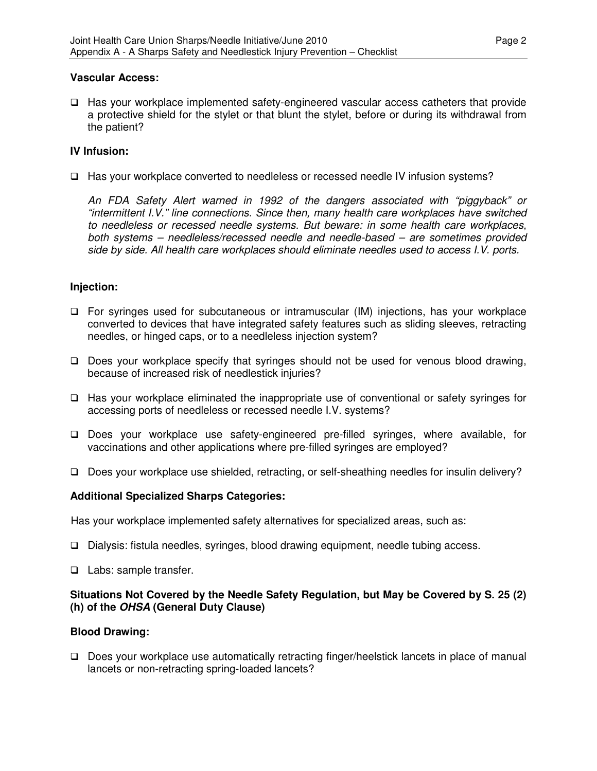## **Vascular Access:**

 Has your workplace implemented safety-engineered vascular access catheters that provide a protective shield for the stylet or that blunt the stylet, before or during its withdrawal from the patient?

## **IV Infusion:**

□ Has your workplace converted to needleless or recessed needle IV infusion systems?

An FDA Safety Alert warned in 1992 of the dangers associated with "piggyback" or "intermittent I.V." line connections. Since then, many health care workplaces have switched to needleless or recessed needle systems. But beware: in some health care workplaces, both systems – needleless/recessed needle and needle-based – are sometimes provided side by side. All health care workplaces should eliminate needles used to access I.V. ports.

## **Injection:**

- For syringes used for subcutaneous or intramuscular (IM) injections, has your workplace converted to devices that have integrated safety features such as sliding sleeves, retracting needles, or hinged caps, or to a needleless injection system?
- $\Box$  Does your workplace specify that syringes should not be used for venous blood drawing, because of increased risk of needlestick injuries?
- Has your workplace eliminated the inappropriate use of conventional or safety syringes for accessing ports of needleless or recessed needle I.V. systems?
- Does your workplace use safety-engineered pre-filled syringes, where available, for vaccinations and other applications where pre-filled syringes are employed?
- □ Does your workplace use shielded, retracting, or self-sheathing needles for insulin delivery?

## **Additional Specialized Sharps Categories:**

Has your workplace implemented safety alternatives for specialized areas, such as:

- Dialysis: fistula needles, syringes, blood drawing equipment, needle tubing access.
- $\Box$  Labs: sample transfer.

## **Situations Not Covered by the Needle Safety Regulation, but May be Covered by S. 25 (2) (h) of the OHSA (General Duty Clause)**

#### **Blood Drawing:**

 Does your workplace use automatically retracting finger/heelstick lancets in place of manual lancets or non-retracting spring-loaded lancets?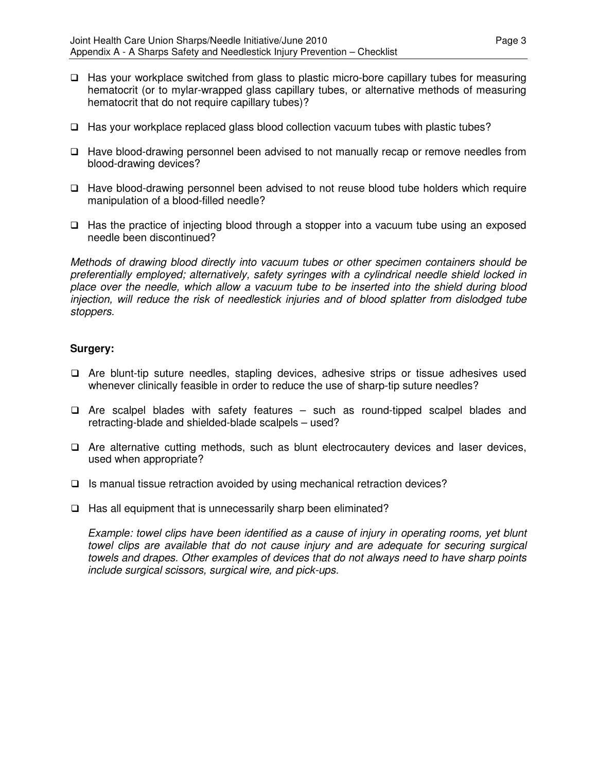- $\Box$  Has your workplace switched from glass to plastic micro-bore capillary tubes for measuring hematocrit (or to mylar-wrapped glass capillary tubes, or alternative methods of measuring hematocrit that do not require capillary tubes)?
- $\Box$  Has your workplace replaced glass blood collection vacuum tubes with plastic tubes?
- Have blood-drawing personnel been advised to not manually recap or remove needles from blood-drawing devices?
- Have blood-drawing personnel been advised to not reuse blood tube holders which require manipulation of a blood-filled needle?
- $\Box$  Has the practice of injecting blood through a stopper into a vacuum tube using an exposed needle been discontinued?

Methods of drawing blood directly into vacuum tubes or other specimen containers should be preferentially employed; alternatively, safety syringes with a cylindrical needle shield locked in place over the needle, which allow a vacuum tube to be inserted into the shield during blood injection, will reduce the risk of needlestick injuries and of blood splatter from dislodged tube stoppers.

## **Surgery:**

- Are blunt-tip suture needles, stapling devices, adhesive strips or tissue adhesives used whenever clinically feasible in order to reduce the use of sharp-tip suture needles?
- $\Box$  Are scalpel blades with safety features such as round-tipped scalpel blades and retracting-blade and shielded-blade scalpels – used?
- $\Box$  Are alternative cutting methods, such as blunt electrocautery devices and laser devices, used when appropriate?
- $\Box$  Is manual tissue retraction avoided by using mechanical retraction devices?
- $\Box$  Has all equipment that is unnecessarily sharp been eliminated?

Example: towel clips have been identified as a cause of injury in operating rooms, yet blunt towel clips are available that do not cause injury and are adequate for securing surgical towels and drapes. Other examples of devices that do not always need to have sharp points include surgical scissors, surgical wire, and pick-ups.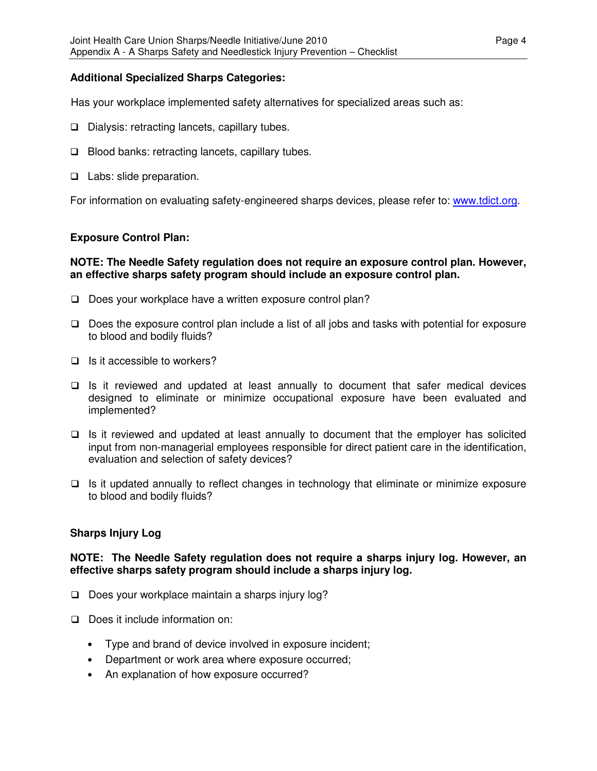## **Additional Specialized Sharps Categories:**

Has your workplace implemented safety alternatives for specialized areas such as:

- $\square$  Dialysis: retracting lancets, capillary tubes.
- $\Box$  Blood banks: retracting lancets, capillary tubes.
- □ Labs: slide preparation.

For information on evaluating safety-engineered sharps devices, please refer to: www.tdict.org.

## **Exposure Control Plan:**

## **NOTE: The Needle Safety regulation does not require an exposure control plan. However, an effective sharps safety program should include an exposure control plan.**

- Does your workplace have a written exposure control plan?
- $\Box$  Does the exposure control plan include a list of all jobs and tasks with potential for exposure to blood and bodily fluids?
- $\Box$  Is it accessible to workers?
- $\Box$  Is it reviewed and updated at least annually to document that safer medical devices designed to eliminate or minimize occupational exposure have been evaluated and implemented?
- $\Box$  Is it reviewed and updated at least annually to document that the employer has solicited input from non-managerial employees responsible for direct patient care in the identification, evaluation and selection of safety devices?
- $\Box$  Is it updated annually to reflect changes in technology that eliminate or minimize exposure to blood and bodily fluids?

## **Sharps Injury Log**

## **NOTE: The Needle Safety regulation does not require a sharps injury log. However, an effective sharps safety program should include a sharps injury log.**

- $\Box$  Does your workplace maintain a sharps injury log?
- Does it include information on:
	- Type and brand of device involved in exposure incident;
	- Department or work area where exposure occurred;
	- An explanation of how exposure occurred?